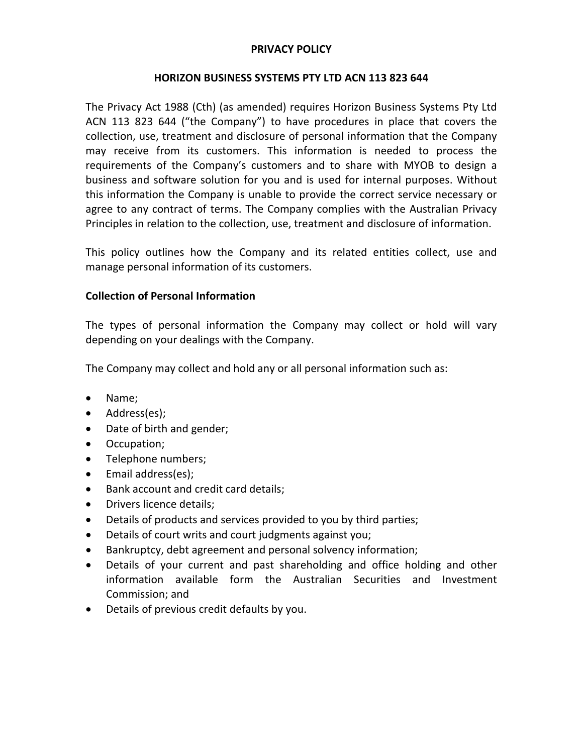## **PRIVACY POLICY**

#### **HORIZON BUSINESS SYSTEMS PTY LTD ACN 113 823 644**

The Privacy Act 1988 (Cth) (as amended) requires Horizon Business Systems Pty Ltd ACN 113 823 644 ("the Company") to have procedures in place that covers the collection, use, treatment and disclosure of personal information that the Company may receive from its customers. This information is needed to process the requirements of the Company's customers and to share with MYOB to design a business and software solution for you and is used for internal purposes. Without this information the Company is unable to provide the correct service necessary or agree to any contract of terms. The Company complies with the Australian Privacy Principles in relation to the collection, use, treatment and disclosure of information.

This policy outlines how the Company and its related entities collect, use and manage personal information of its customers.

# **Collection of Personal Information**

The types of personal information the Company may collect or hold will vary depending on your dealings with the Company.

The Company may collect and hold any or all personal information such as:

- Name;
- Address(es);
- Date of birth and gender;
- Occupation;
- Telephone numbers;
- Email address(es);
- Bank account and credit card details;
- Drivers licence details;
- Details of products and services provided to you by third parties;
- Details of court writs and court judgments against you;
- Bankruptcy, debt agreement and personal solvency information;
- Details of your current and past shareholding and office holding and other information available form the Australian Securities and Investment Commission; and
- Details of previous credit defaults by you.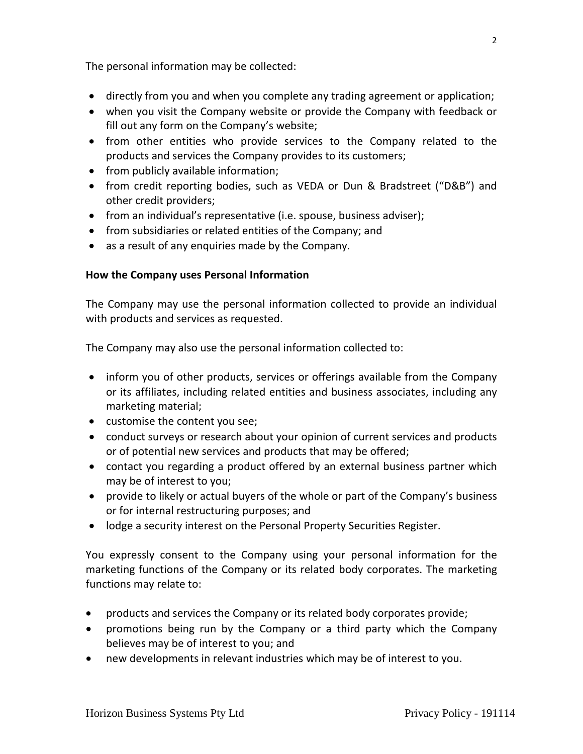The personal information may be collected:

- directly from you and when you complete any trading agreement or application;
- when you visit the Company website or provide the Company with feedback or fill out any form on the Company's website;
- from other entities who provide services to the Company related to the products and services the Company provides to its customers;
- from publicly available information;
- from credit reporting bodies, such as VEDA or Dun & Bradstreet ("D&B") and other credit providers;
- from an individual's representative (i.e. spouse, business adviser);
- from subsidiaries or related entities of the Company; and
- as a result of any enquiries made by the Company.

# **How the Company uses Personal Information**

The Company may use the personal information collected to provide an individual with products and services as requested.

The Company may also use the personal information collected to:

- inform you of other products, services or offerings available from the Company or its affiliates, including related entities and business associates, including any marketing material;
- customise the content you see;
- conduct surveys or research about your opinion of current services and products or of potential new services and products that may be offered;
- contact you regarding a product offered by an external business partner which may be of interest to you;
- provide to likely or actual buyers of the whole or part of the Company's business or for internal restructuring purposes; and
- lodge a security interest on the Personal Property Securities Register.

You expressly consent to the Company using your personal information for the marketing functions of the Company or its related body corporates. The marketing functions may relate to:

- products and services the Company or its related body corporates provide;
- promotions being run by the Company or a third party which the Company believes may be of interest to you; and
- new developments in relevant industries which may be of interest to you.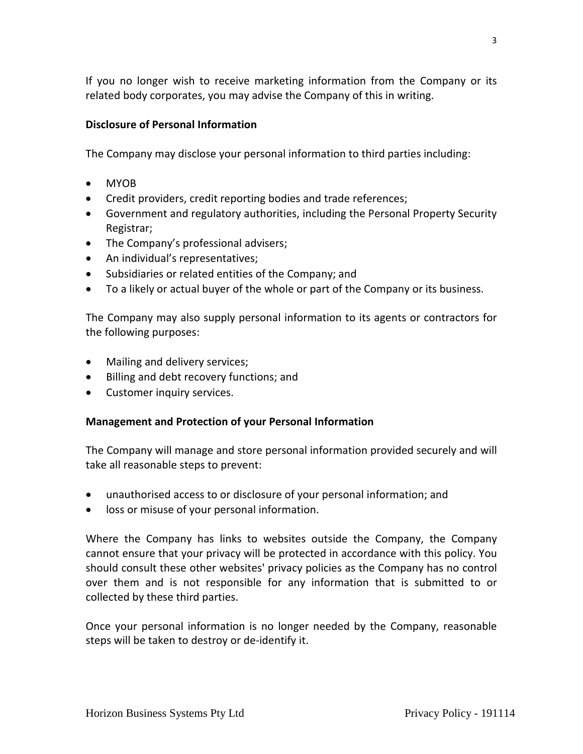If you no longer wish to receive marketing information from the Company or its related body corporates, you may advise the Company of this in writing.

# **Disclosure of Personal Information**

The Company may disclose your personal information to third parties including:

- MYOB
- Credit providers, credit reporting bodies and trade references;
- Government and regulatory authorities, including the Personal Property Security Registrar;
- The Company's professional advisers;
- An individual's representatives;
- Subsidiaries or related entities of the Company; and
- To a likely or actual buyer of the whole or part of the Company or its business.

The Company may also supply personal information to its agents or contractors for the following purposes:

- Mailing and delivery services;
- Billing and debt recovery functions; and
- Customer inquiry services.

# **Management and Protection of your Personal Information**

The Company will manage and store personal information provided securely and will take all reasonable steps to prevent:

- unauthorised access to or disclosure of your personal information; and
- loss or misuse of your personal information.

Where the Company has links to websites outside the Company, the Company cannot ensure that your privacy will be protected in accordance with this policy. You should consult these other websites' privacy policies as the Company has no control over them and is not responsible for any information that is submitted to or collected by these third parties.

Once your personal information is no longer needed by the Company, reasonable steps will be taken to destroy or de-identify it.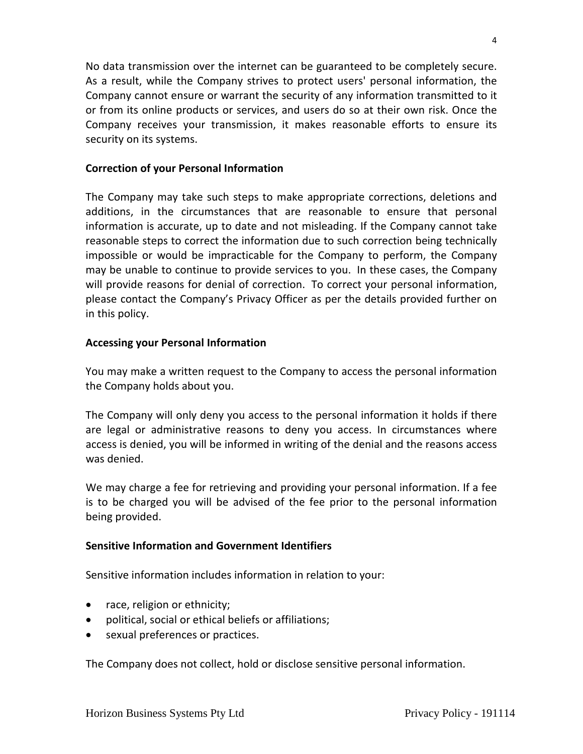No data transmission over the internet can be guaranteed to be completely secure. As a result, while the Company strives to protect users' personal information, the Company cannot ensure or warrant the security of any information transmitted to it or from its online products or services, and users do so at their own risk. Once the Company receives your transmission, it makes reasonable efforts to ensure its security on its systems.

#### **Correction of your Personal Information**

The Company may take such steps to make appropriate corrections, deletions and additions, in the circumstances that are reasonable to ensure that personal information is accurate, up to date and not misleading. If the Company cannot take reasonable steps to correct the information due to such correction being technically impossible or would be impracticable for the Company to perform, the Company may be unable to continue to provide services to you. In these cases, the Company will provide reasons for denial of correction. To correct your personal information, please contact the Company's Privacy Officer as per the details provided further on in this policy.

## **Accessing your Personal Information**

You may make a written request to the Company to access the personal information the Company holds about you.

The Company will only deny you access to the personal information it holds if there are legal or administrative reasons to deny you access. In circumstances where access is denied, you will be informed in writing of the denial and the reasons access was denied.

We may charge a fee for retrieving and providing your personal information. If a fee is to be charged you will be advised of the fee prior to the personal information being provided.

#### **Sensitive Information and Government Identifiers**

Sensitive information includes information in relation to your:

- race, religion or ethnicity;
- political, social or ethical beliefs or affiliations;
- sexual preferences or practices.

The Company does not collect, hold or disclose sensitive personal information.